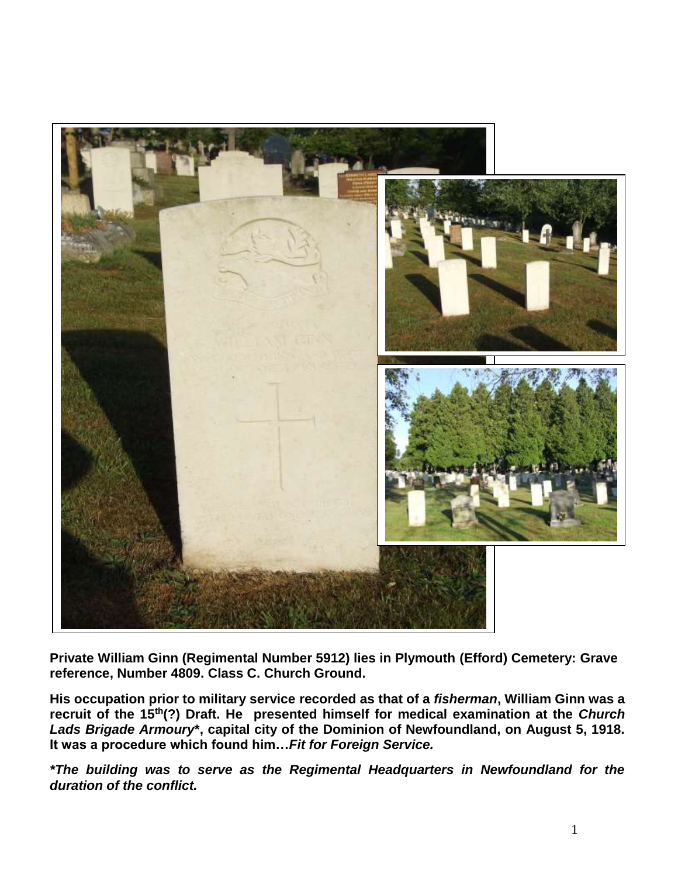

**Private William Ginn (Regimental Number 5912) lies in Plymouth (Efford) Cemetery: Grave reference, Number 4809. Class C. Church Ground.**

**His occupation prior to military service recorded as that of a** *fisherman***, William Ginn was a recruit of the 15th(?) Draft. He presented himself for medical examination at the** *Church Lads Brigade Armoury***\*, capital city of the Dominion of Newfoundland, on August 5, 1918. It was a procedure which found him…***Fit for Foreign Service.*

*\*The building was to serve as the Regimental Headquarters in Newfoundland for the duration of the conflict.*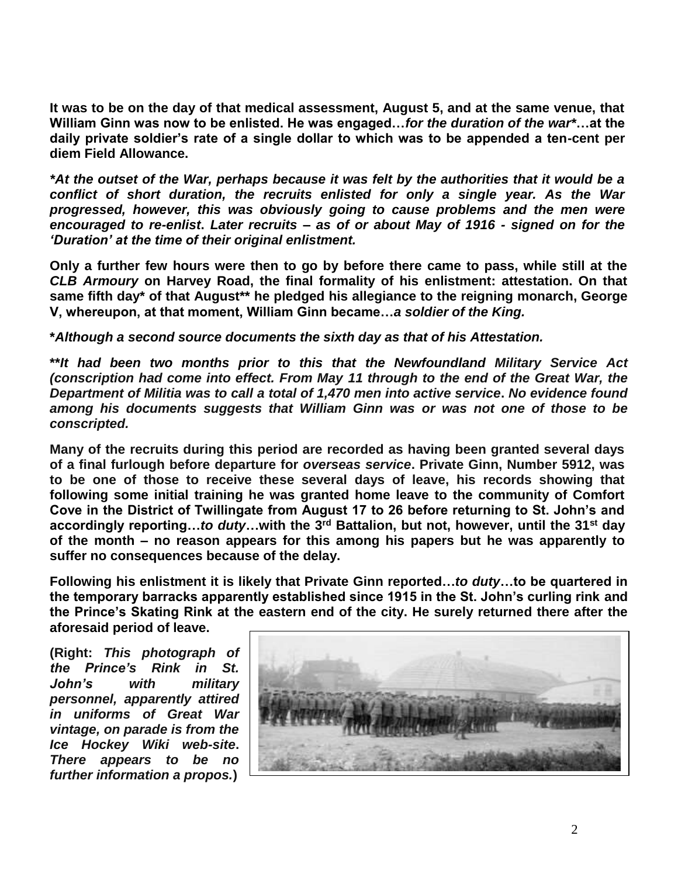**It was to be on the day of that medical assessment, August 5, and at the same venue, that William Ginn was now to be enlisted. He was engaged…***for the duration of the war\****…at the daily private soldier's rate of a single dollar to which was to be appended a ten-cent per diem Field Allowance.** 

*\*At the outset of the War, perhaps because it was felt by the authorities that it would be a conflict of short duration, the recruits enlisted for only a single year. As the War progressed, however, this was obviously going to cause problems and the men were encouraged to re-enlist***.** *Later recruits – as of or about May of 1916 - signed on for the 'Duration' at the time of their original enlistment.*

**Only a further few hours were then to go by before there came to pass, while still at the**  *CLB Armoury* **on Harvey Road, the final formality of his enlistment: attestation. On that same fifth day\* of that August\*\* he pledged his allegiance to the reigning monarch, George V, whereupon, at that moment, William Ginn became…***a soldier of the King.*

**\****Although a second source documents the sixth day as that of his Attestation.*

**\*\****It had been two months prior to this that the Newfoundland Military Service Act (conscription had come into effect. From May 11 through to the end of the Great War, the Department of Militia was to call a total of 1,470 men into active service***.** *No evidence found among his documents suggests that William Ginn was or was not one of those to be conscripted.*

**Many of the recruits during this period are recorded as having been granted several days of a final furlough before departure for** *overseas service***. Private Ginn, Number 5912, was to be one of those to receive these several days of leave, his records showing that following some initial training he was granted home leave to the community of Comfort Cove in the District of Twillingate from August 17 to 26 before returning to St. John's and accordingly reporting…***to duty***…with the 3rd Battalion, but not, however, until the 31st day of the month – no reason appears for this among his papers but he was apparently to suffer no consequences because of the delay.**

**Following his enlistment it is likely that Private Ginn reported…***to duty***…to be quartered in the temporary barracks apparently established since 1915 in the St. John's curling rink and the Prince's Skating Rink at the eastern end of the city. He surely returned there after the aforesaid period of leave.**

**(Right:** *This photograph of the Prince's Rink in St. John's with military personnel, apparently attired in uniforms of Great War vintage, on parade is from the Ice Hockey Wiki web-site***.**  *There appears to be no further information a propos.***)**

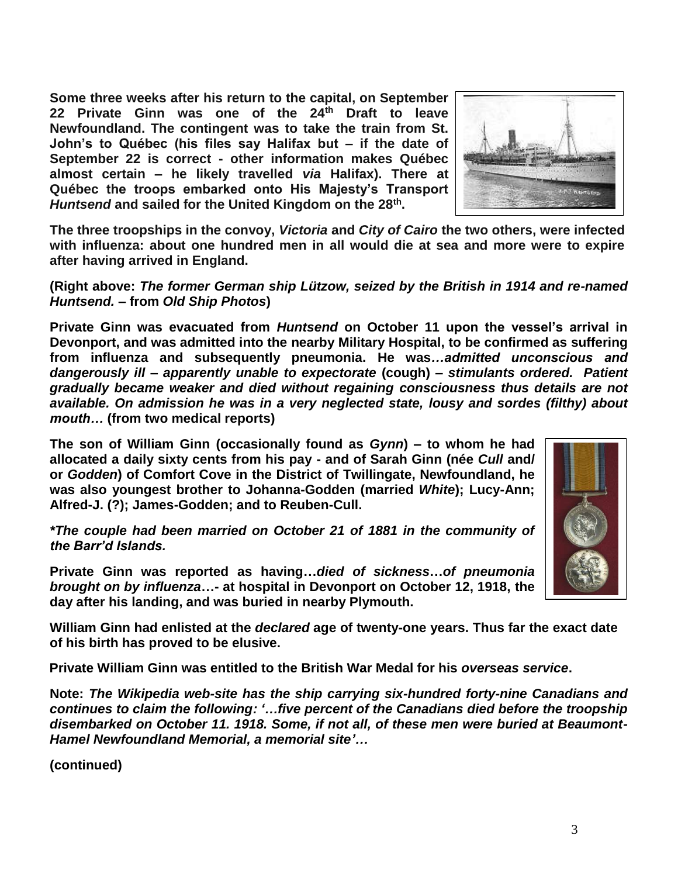**Some three weeks after his return to the capital, on September 22 Private Ginn was one of the 24th Draft to leave Newfoundland. The contingent was to take the train from St. John's to Québec (his files say Halifax but – if the date of September 22 is correct - other information makes Québec almost certain – he likely travelled** *via* **Halifax). There at Québec the troops embarked onto His Majesty's Transport** *Huntsend* **and sailed for the United Kingdom on the 28th .** 



**The three troopships in the convoy,** *Victoria* **and** *City of Cairo* **the two others, were infected with influenza: about one hundred men in all would die at sea and more were to expire after having arrived in England.**

**(Right above:** *The former German ship Lützow, seized by the British in 1914 and re-named Huntsend.* **– from** *Old Ship Photos***)**

**Private Ginn was evacuated from** *Huntsend* **on October 11 upon the vessel's arrival in Devonport, and was admitted into the nearby Military Hospital, to be confirmed as suffering from influenza and subsequently pneumonia. He was***…admitted unconscious and dangerously ill – apparently unable to expectorate* **(cough)** *– stimulants ordered. Patient gradually became weaker and died without regaining consciousness thus details are not available. On admission he was in a very neglected state, lousy and sordes (filthy) about mouth…* **(from two medical reports)**

**The son of William Ginn (occasionally found as** *Gynn***) – to whom he had allocated a daily sixty cents from his pay - and of Sarah Ginn (née** *Cull* **and/ or** *Godden***) of Comfort Cove in the District of Twillingate, Newfoundland, he was also youngest brother to Johanna-Godden (married** *White***); Lucy-Ann; Alfred-J. (?); James-Godden; and to Reuben-Cull.** 

*\*The couple had been married on October 21 of 1881 in the community of the Barr'd Islands.*

**Private Ginn was reported as having…***died of sickness***…***of pneumonia brought on by influenza***…- at hospital in Devonport on October 12, 1918, the day after his landing, and was buried in nearby Plymouth.** 

**William Ginn had enlisted at the** *declared* **age of twenty-one years. Thus far the exact date of his birth has proved to be elusive.**

**Private William Ginn was entitled to the British War Medal for his** *overseas service***.**

**Note:** *The Wikipedia web-site has the ship carrying six-hundred forty-nine Canadians and continues to claim the following: '…five percent of the Canadians died before the troopship disembarked on October 11. 1918. Some, if not all, of these men were buried at Beaumont-Hamel Newfoundland Memorial, a memorial site'…*

**(continued)**